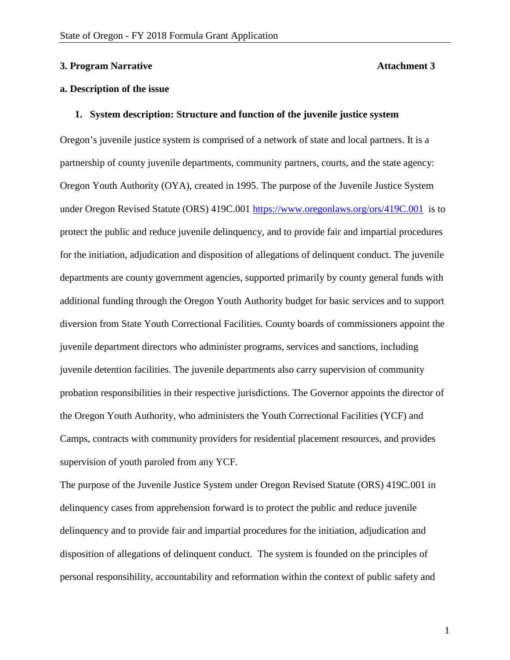#### **3. Program Narrative Attachment 3**

# **a. Description of the issue**

#### **1. System description: Structure and function of the juvenile justice system**

Oregon's juvenile justice system is comprised of a network of state and local partners. It is a partnership of county juvenile departments, community partners, courts, and the state agency: Oregon Youth Authority (OYA), created in 1995. The purpose of the Juvenile Justice System under Oregon Revised Statute (ORS) 419C.001 <https://www.oregonlaws.org/ors/419C.001> is to protect the public and reduce juvenile delinquency, and to provide fair and impartial procedures for the initiation, adjudication and disposition of allegations of delinquent conduct. The juvenile departments are county government agencies, supported primarily by county general funds with additional funding through the Oregon Youth Authority budget for basic services and to support diversion from State Youth Correctional Facilities. County boards of commissioners appoint the juvenile department directors who administer programs, services and sanctions, including juvenile detention facilities. The juvenile departments also carry supervision of community probation responsibilities in their respective jurisdictions. The Governor appoints the director of the Oregon Youth Authority, who administers the Youth Correctional Facilities (YCF) and Camps, contracts with community providers for residential placement resources, and provides supervision of youth paroled from any YCF.

The purpose of the Juvenile Justice System under Oregon Revised Statute (ORS) 419C.001 in delinquency cases from apprehension forward is to protect the public and reduce juvenile delinquency and to provide fair and impartial procedures for the initiation, adjudication and disposition of allegations of delinquent conduct. The system is founded on the principles of personal responsibility, accountability and reformation within the context of public safety and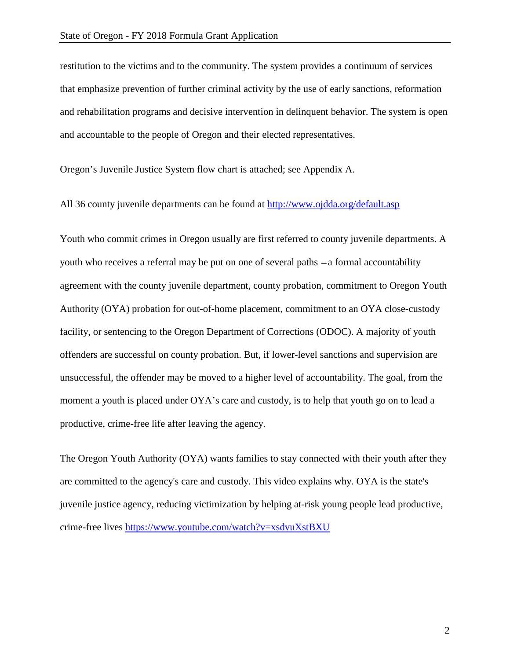restitution to the victims and to the community. The system provides a continuum of services that emphasize prevention of further criminal activity by the use of early sanctions, reformation and rehabilitation programs and decisive intervention in delinquent behavior. The system is open and accountable to the people of Oregon and their elected representatives.

Oregon's Juvenile Justice System flow chart is attached; see Appendix A.

All 36 county juvenile departments can be found at<http://www.ojdda.org/default.asp>

Youth who commit crimes in Oregon usually are first referred to county juvenile departments. A youth who receives a referral may be put on one of several paths  $-a$  formal accountability agreement with the county juvenile department, county probation, commitment to Oregon Youth Authority (OYA) probation for out-of-home placement, commitment to an OYA close-custody facility, or sentencing to the Oregon Department of Corrections (ODOC). A majority of youth offenders are successful on county probation. But, if lower-level sanctions and supervision are unsuccessful, the offender may be moved to a higher level of accountability. The goal, from the moment a youth is placed under OYA's care and custody, is to help that youth go on to lead a productive, crime-free life after leaving the agency.

The Oregon Youth Authority (OYA) wants families to stay connected with their youth after they are committed to the agency's care and custody. This video explains why. OYA is the state's juvenile justice agency, reducing victimization by helping at-risk young people lead productive, crime-free lives <https://www.youtube.com/watch?v=xsdvuXstBXU>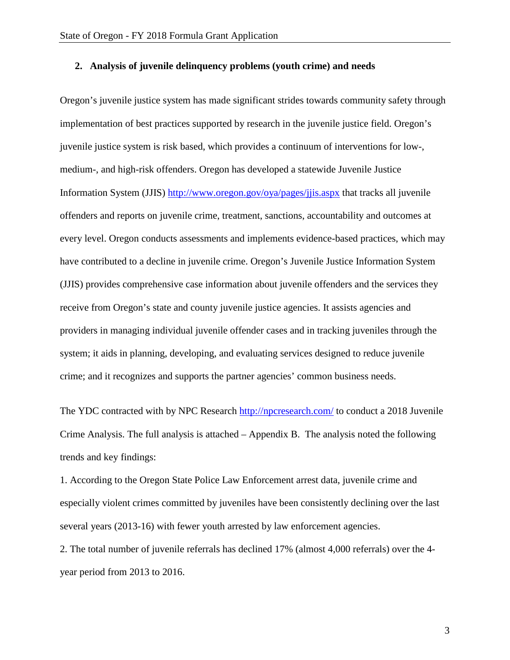# **2. Analysis of juvenile delinquency problems (youth crime) and needs**

Oregon's juvenile justice system has made significant strides towards community safety through implementation of best practices supported by research in the juvenile justice field. Oregon's juvenile justice system is risk based, which provides a continuum of interventions for low-, medium-, and high-risk offenders. Oregon has developed a statewide Juvenile Justice Information System (JJIS)<http://www.oregon.gov/oya/pages/jjis.aspx> that tracks all juvenile offenders and reports on juvenile crime, treatment, sanctions, accountability and outcomes at every level. Oregon conducts assessments and implements evidence-based practices, which may have contributed to a decline in juvenile crime. Oregon's Juvenile Justice Information System (JJIS) provides comprehensive case information about juvenile offenders and the services they receive from Oregon's state and county juvenile justice agencies. It assists agencies and providers in managing individual juvenile offender cases and in tracking juveniles through the system; it aids in planning, developing, and evaluating services designed to reduce juvenile crime; and it recognizes and supports the partner agencies' common business needs.

The YDC contracted with by NPC Research<http://npcresearch.com/> to conduct a 2018 Juvenile Crime Analysis. The full analysis is attached – Appendix B. The analysis noted the following trends and key findings:

1. According to the Oregon State Police Law Enforcement arrest data, juvenile crime and especially violent crimes committed by juveniles have been consistently declining over the last several years (2013-16) with fewer youth arrested by law enforcement agencies.

2. The total number of juvenile referrals has declined 17% (almost 4,000 referrals) over the 4 year period from 2013 to 2016.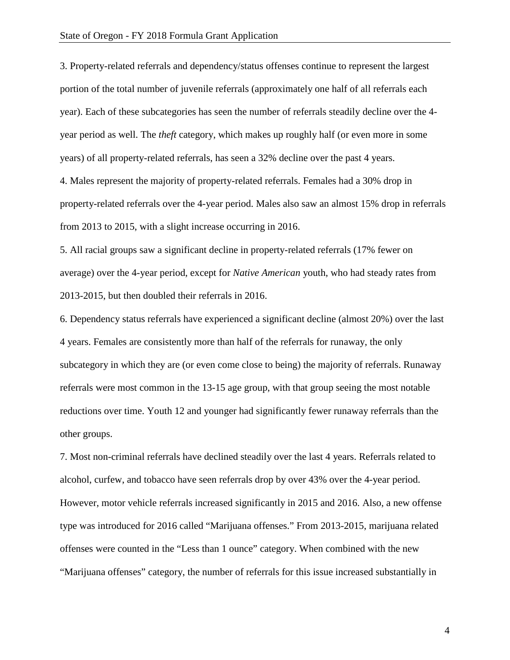3. Property-related referrals and dependency/status offenses continue to represent the largest portion of the total number of juvenile referrals (approximately one half of all referrals each year). Each of these subcategories has seen the number of referrals steadily decline over the 4 year period as well. The *theft* category, which makes up roughly half (or even more in some years) of all property-related referrals, has seen a 32% decline over the past 4 years. 4. Males represent the majority of property-related referrals. Females had a 30% drop in property-related referrals over the 4-year period. Males also saw an almost 15% drop in referrals

from 2013 to 2015, with a slight increase occurring in 2016.

5. All racial groups saw a significant decline in property-related referrals (17% fewer on average) over the 4-year period, except for *Native American* youth, who had steady rates from 2013-2015, but then doubled their referrals in 2016.

6. Dependency status referrals have experienced a significant decline (almost 20%) over the last 4 years. Females are consistently more than half of the referrals for runaway, the only subcategory in which they are (or even come close to being) the majority of referrals. Runaway referrals were most common in the 13-15 age group, with that group seeing the most notable reductions over time. Youth 12 and younger had significantly fewer runaway referrals than the other groups.

7. Most non-criminal referrals have declined steadily over the last 4 years. Referrals related to alcohol, curfew, and tobacco have seen referrals drop by over 43% over the 4-year period. However, motor vehicle referrals increased significantly in 2015 and 2016. Also, a new offense type was introduced for 2016 called "Marijuana offenses." From 2013-2015, marijuana related offenses were counted in the "Less than 1 ounce" category. When combined with the new "Marijuana offenses" category, the number of referrals for this issue increased substantially in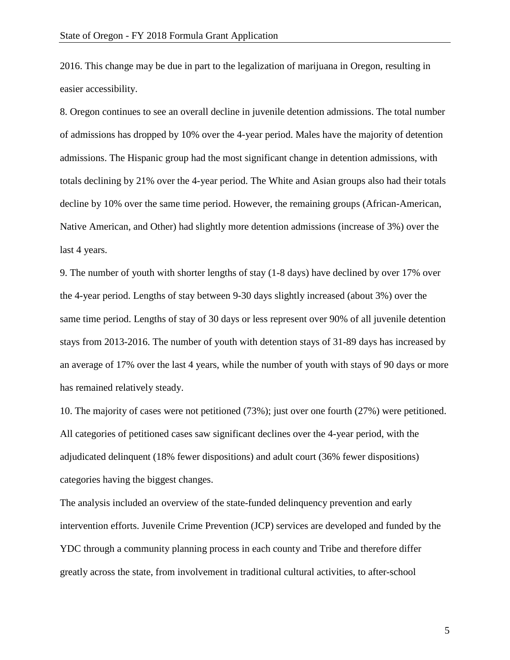2016. This change may be due in part to the legalization of marijuana in Oregon, resulting in easier accessibility.

8. Oregon continues to see an overall decline in juvenile detention admissions. The total number of admissions has dropped by 10% over the 4-year period. Males have the majority of detention admissions. The Hispanic group had the most significant change in detention admissions, with totals declining by 21% over the 4-year period. The White and Asian groups also had their totals decline by 10% over the same time period. However, the remaining groups (African-American, Native American, and Other) had slightly more detention admissions (increase of 3%) over the last 4 years.

9. The number of youth with shorter lengths of stay (1-8 days) have declined by over 17% over the 4-year period. Lengths of stay between 9-30 days slightly increased (about 3%) over the same time period. Lengths of stay of 30 days or less represent over 90% of all juvenile detention stays from 2013-2016. The number of youth with detention stays of 31-89 days has increased by an average of 17% over the last 4 years, while the number of youth with stays of 90 days or more has remained relatively steady.

10. The majority of cases were not petitioned (73%); just over one fourth (27%) were petitioned. All categories of petitioned cases saw significant declines over the 4-year period, with the adjudicated delinquent (18% fewer dispositions) and adult court (36% fewer dispositions) categories having the biggest changes.

The analysis included an overview of the state-funded delinquency prevention and early intervention efforts. Juvenile Crime Prevention (JCP) services are developed and funded by the YDC through a community planning process in each county and Tribe and therefore differ greatly across the state, from involvement in traditional cultural activities, to after-school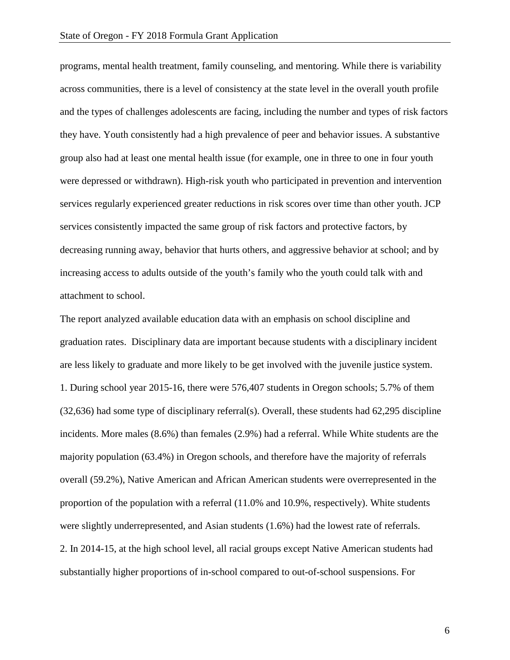programs, mental health treatment, family counseling, and mentoring. While there is variability across communities, there is a level of consistency at the state level in the overall youth profile and the types of challenges adolescents are facing, including the number and types of risk factors they have. Youth consistently had a high prevalence of peer and behavior issues. A substantive group also had at least one mental health issue (for example, one in three to one in four youth were depressed or withdrawn). High-risk youth who participated in prevention and intervention services regularly experienced greater reductions in risk scores over time than other youth. JCP services consistently impacted the same group of risk factors and protective factors, by decreasing running away, behavior that hurts others, and aggressive behavior at school; and by increasing access to adults outside of the youth's family who the youth could talk with and attachment to school.

The report analyzed available education data with an emphasis on school discipline and graduation rates. Disciplinary data are important because students with a disciplinary incident are less likely to graduate and more likely to be get involved with the juvenile justice system. 1. During school year 2015-16, there were 576,407 students in Oregon schools; 5.7% of them (32,636) had some type of disciplinary referral(s). Overall, these students had 62,295 discipline incidents. More males (8.6%) than females (2.9%) had a referral. While White students are the majority population (63.4%) in Oregon schools, and therefore have the majority of referrals overall (59.2%), Native American and African American students were overrepresented in the proportion of the population with a referral (11.0% and 10.9%, respectively). White students were slightly underrepresented, and Asian students (1.6%) had the lowest rate of referrals. 2. In 2014-15, at the high school level, all racial groups except Native American students had substantially higher proportions of in-school compared to out-of-school suspensions. For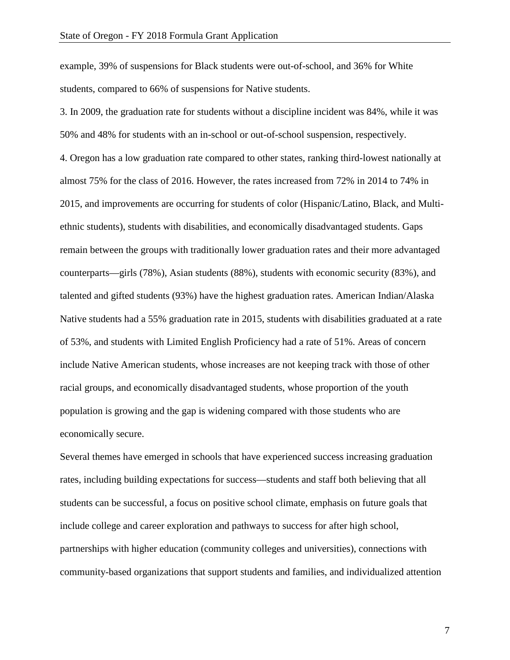example, 39% of suspensions for Black students were out-of-school, and 36% for White students, compared to 66% of suspensions for Native students.

3. In 2009, the graduation rate for students without a discipline incident was 84%, while it was 50% and 48% for students with an in-school or out-of-school suspension, respectively. 4. Oregon has a low graduation rate compared to other states, ranking third-lowest nationally at almost 75% for the class of 2016. However, the rates increased from 72% in 2014 to 74% in 2015, and improvements are occurring for students of color (Hispanic/Latino, Black, and Multiethnic students), students with disabilities, and economically disadvantaged students. Gaps remain between the groups with traditionally lower graduation rates and their more advantaged counterparts—girls (78%), Asian students (88%), students with economic security (83%), and talented and gifted students (93%) have the highest graduation rates. American Indian/Alaska Native students had a 55% graduation rate in 2015, students with disabilities graduated at a rate of 53%, and students with Limited English Proficiency had a rate of 51%. Areas of concern include Native American students, whose increases are not keeping track with those of other racial groups, and economically disadvantaged students, whose proportion of the youth population is growing and the gap is widening compared with those students who are economically secure.

Several themes have emerged in schools that have experienced success increasing graduation rates, including building expectations for success—students and staff both believing that all students can be successful, a focus on positive school climate, emphasis on future goals that include college and career exploration and pathways to success for after high school, partnerships with higher education (community colleges and universities), connections with community-based organizations that support students and families, and individualized attention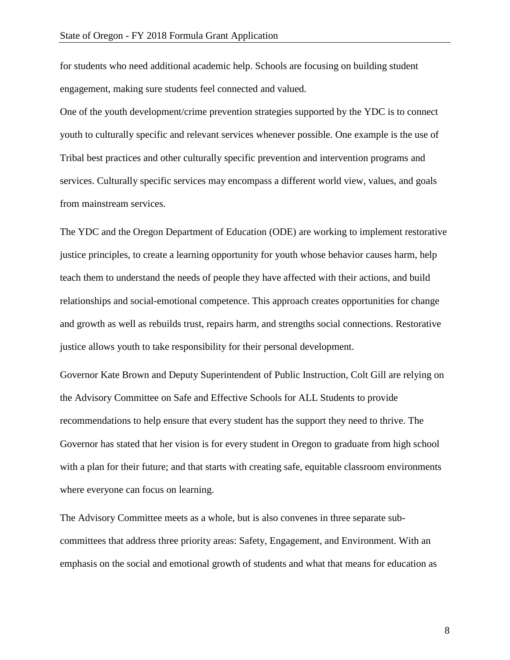for students who need additional academic help. Schools are focusing on building student engagement, making sure students feel connected and valued.

One of the youth development/crime prevention strategies supported by the YDC is to connect youth to culturally specific and relevant services whenever possible. One example is the use of Tribal best practices and other culturally specific prevention and intervention programs and services. Culturally specific services may encompass a different world view, values, and goals from mainstream services.

The YDC and the Oregon Department of Education (ODE) are working to implement restorative justice principles, to create a learning opportunity for youth whose behavior causes harm, help teach them to understand the needs of people they have affected with their actions, and build relationships and social-emotional competence. This approach creates opportunities for change and growth as well as rebuilds trust, repairs harm, and strengths social connections. Restorative justice allows youth to take responsibility for their personal development.

Governor Kate Brown and Deputy Superintendent of Public Instruction, Colt Gill are relying on the Advisory Committee on Safe and Effective Schools for ALL Students to provide recommendations to help ensure that every student has the support they need to thrive. The Governor has stated that her vision is for every student in Oregon to graduate from high school with a plan for their future; and that starts with creating safe, equitable classroom environments where everyone can focus on learning.

The Advisory Committee meets as a whole, but is also convenes in three separate subcommittees that address three priority areas: Safety, Engagement, and Environment. With an emphasis on the social and emotional growth of students and what that means for education as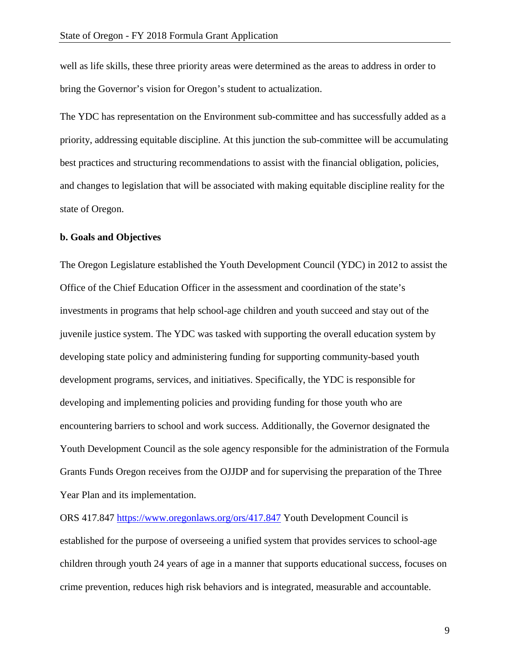well as life skills, these three priority areas were determined as the areas to address in order to bring the Governor's vision for Oregon's student to actualization.

The YDC has representation on the Environment sub-committee and has successfully added as a priority, addressing equitable discipline. At this junction the sub-committee will be accumulating best practices and structuring recommendations to assist with the financial obligation, policies, and changes to legislation that will be associated with making equitable discipline reality for the state of Oregon.

### **b. Goals and Objectives**

The Oregon Legislature established the Youth Development Council (YDC) in 2012 to assist the Office of the Chief Education Officer in the assessment and coordination of the state's investments in programs that help school-age children and youth succeed and stay out of the juvenile justice system. The YDC was tasked with supporting the overall education system by developing state policy and administering funding for supporting community-based youth development programs, services, and initiatives. Specifically, the YDC is responsible for developing and implementing policies and providing funding for those youth who are encountering barriers to school and work success. Additionally, the Governor designated the Youth Development Council as the sole agency responsible for the administration of the Formula Grants Funds Oregon receives from the OJJDP and for supervising the preparation of the Three Year Plan and its implementation.

ORS 417.847<https://www.oregonlaws.org/ors/417.847> Youth Development Council is established for the purpose of overseeing a unified system that provides services to school-age children through youth 24 years of age in a manner that supports educational success, focuses on crime prevention, reduces high risk behaviors and is integrated, measurable and accountable.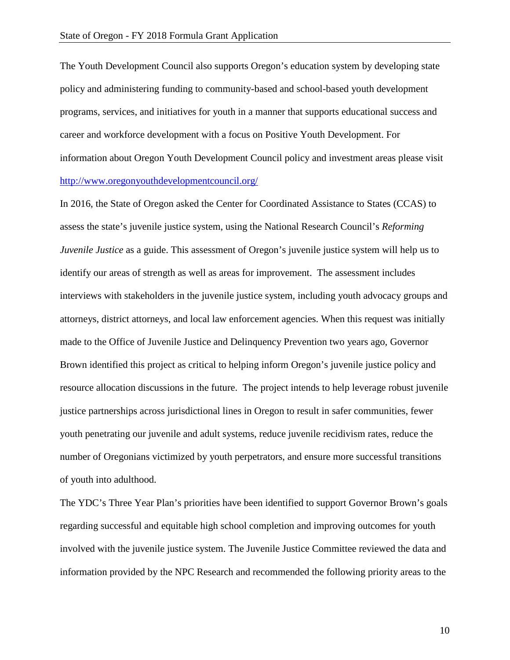The Youth Development Council also supports Oregon's education system by developing state policy and administering funding to community-based and school-based youth development programs, services, and initiatives for youth in a manner that supports educational success and career and workforce development with a focus on Positive Youth Development. For information about Oregon Youth Development Council policy and investment areas please visit <http://www.oregonyouthdevelopmentcouncil.org/>

In 2016, the State of Oregon asked the Center for Coordinated Assistance to States (CCAS) to assess the state's juvenile justice system, using the National Research Council's *Reforming Juvenile Justice* as a guide. This assessment of Oregon's juvenile justice system will help us to identify our areas of strength as well as areas for improvement. The assessment includes interviews with stakeholders in the juvenile justice system, including youth advocacy groups and attorneys, district attorneys, and local law enforcement agencies. When this request was initially made to the Office of Juvenile Justice and Delinquency Prevention two years ago, Governor Brown identified this project as critical to helping inform Oregon's juvenile justice policy and resource allocation discussions in the future. The project intends to help leverage robust juvenile justice partnerships across jurisdictional lines in Oregon to result in safer communities, fewer youth penetrating our juvenile and adult systems, reduce juvenile recidivism rates, reduce the number of Oregonians victimized by youth perpetrators, and ensure more successful transitions of youth into adulthood.

The YDC's Three Year Plan's priorities have been identified to support Governor Brown's goals regarding successful and equitable high school completion and improving outcomes for youth involved with the juvenile justice system. The Juvenile Justice Committee reviewed the data and information provided by the NPC Research and recommended the following priority areas to the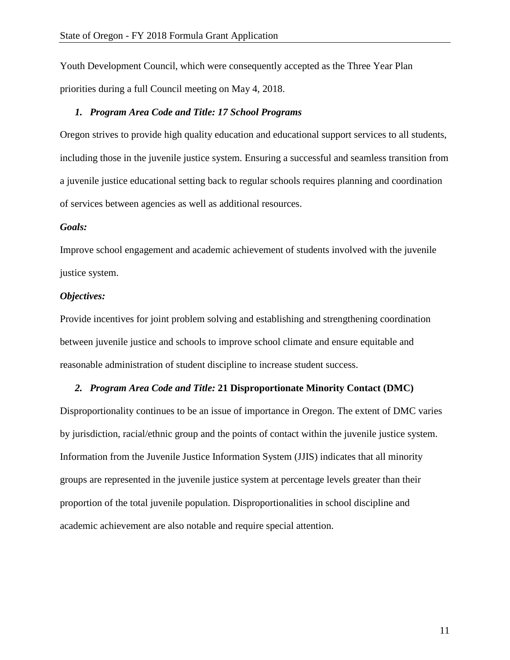Youth Development Council, which were consequently accepted as the Three Year Plan priorities during a full Council meeting on May 4, 2018.

#### *1. Program Area Code and Title: 17 School Programs*

Oregon strives to provide high quality education and educational support services to all students, including those in the juvenile justice system. Ensuring a successful and seamless transition from a juvenile justice educational setting back to regular schools requires planning and coordination of services between agencies as well as additional resources.

#### *Goals:*

Improve school engagement and academic achievement of students involved with the juvenile justice system.

#### *Objectives:*

Provide incentives for joint problem solving and establishing and strengthening coordination between juvenile justice and schools to improve school climate and ensure equitable and reasonable administration of student discipline to increase student success.

#### *2. Program Area Code and Title:* **21 Disproportionate Minority Contact (DMC)**

Disproportionality continues to be an issue of importance in Oregon. The extent of DMC varies by jurisdiction, racial/ethnic group and the points of contact within the juvenile justice system. Information from the Juvenile Justice Information System (JJIS) indicates that all minority groups are represented in the juvenile justice system at percentage levels greater than their proportion of the total juvenile population. Disproportionalities in school discipline and academic achievement are also notable and require special attention.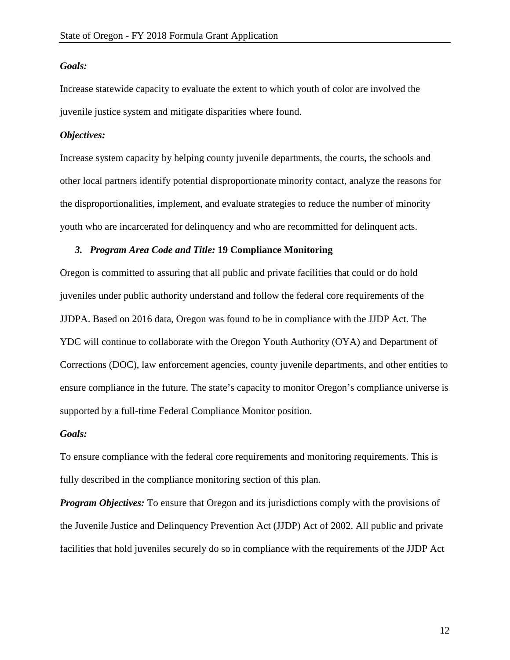#### *Goals:*

Increase statewide capacity to evaluate the extent to which youth of color are involved the juvenile justice system and mitigate disparities where found.

# *Objectives:*

Increase system capacity by helping county juvenile departments, the courts, the schools and other local partners identify potential disproportionate minority contact, analyze the reasons for the disproportionalities, implement, and evaluate strategies to reduce the number of minority youth who are incarcerated for delinquency and who are recommitted for delinquent acts.

#### *3. Program Area Code and Title:* **19 Compliance Monitoring**

Oregon is committed to assuring that all public and private facilities that could or do hold juveniles under public authority understand and follow the federal core requirements of the JJDPA. Based on 2016 data, Oregon was found to be in compliance with the JJDP Act. The YDC will continue to collaborate with the Oregon Youth Authority (OYA) and Department of Corrections (DOC), law enforcement agencies, county juvenile departments, and other entities to ensure compliance in the future. The state's capacity to monitor Oregon's compliance universe is supported by a full-time Federal Compliance Monitor position.

#### *Goals:*

To ensure compliance with the federal core requirements and monitoring requirements. This is fully described in the compliance monitoring section of this plan.

*Program Objectives:* To ensure that Oregon and its jurisdictions comply with the provisions of the Juvenile Justice and Delinquency Prevention Act (JJDP) Act of 2002. All public and private facilities that hold juveniles securely do so in compliance with the requirements of the JJDP Act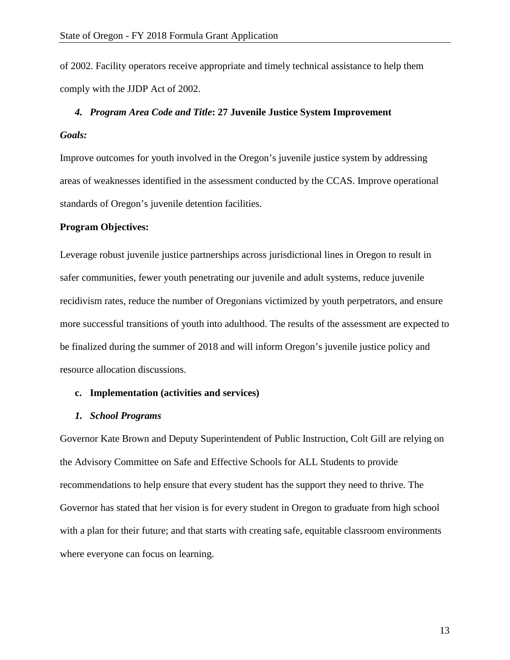of 2002. Facility operators receive appropriate and timely technical assistance to help them comply with the JJDP Act of 2002.

# *4. Program Area Code and Title***: 27 Juvenile Justice System Improvement**  *Goals:*

Improve outcomes for youth involved in the Oregon's juvenile justice system by addressing areas of weaknesses identified in the assessment conducted by the CCAS. Improve operational standards of Oregon's juvenile detention facilities.

### **Program Objectives:**

Leverage robust juvenile justice partnerships across jurisdictional lines in Oregon to result in safer communities, fewer youth penetrating our juvenile and adult systems, reduce juvenile recidivism rates, reduce the number of Oregonians victimized by youth perpetrators, and ensure more successful transitions of youth into adulthood. The results of the assessment are expected to be finalized during the summer of 2018 and will inform Oregon's juvenile justice policy and resource allocation discussions.

#### **c. Implementation (activities and services)**

#### *1. School Programs*

Governor Kate Brown and Deputy Superintendent of Public Instruction, Colt Gill are relying on the Advisory Committee on Safe and Effective Schools for ALL Students to provide recommendations to help ensure that every student has the support they need to thrive. The Governor has stated that her vision is for every student in Oregon to graduate from high school with a plan for their future; and that starts with creating safe, equitable classroom environments where everyone can focus on learning.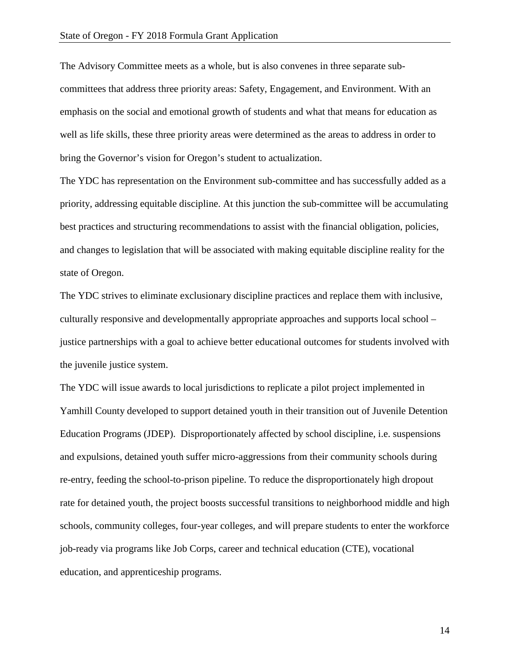The Advisory Committee meets as a whole, but is also convenes in three separate subcommittees that address three priority areas: Safety, Engagement, and Environment. With an emphasis on the social and emotional growth of students and what that means for education as well as life skills, these three priority areas were determined as the areas to address in order to bring the Governor's vision for Oregon's student to actualization.

The YDC has representation on the Environment sub-committee and has successfully added as a priority, addressing equitable discipline. At this junction the sub-committee will be accumulating best practices and structuring recommendations to assist with the financial obligation, policies, and changes to legislation that will be associated with making equitable discipline reality for the state of Oregon.

The YDC strives to eliminate exclusionary discipline practices and replace them with inclusive, culturally responsive and developmentally appropriate approaches and supports local school – justice partnerships with a goal to achieve better educational outcomes for students involved with the juvenile justice system.

The YDC will issue awards to local jurisdictions to replicate a pilot project implemented in Yamhill County developed to support detained youth in their transition out of Juvenile Detention Education Programs (JDEP). Disproportionately affected by school discipline, i.e. suspensions and expulsions, detained youth suffer micro-aggressions from their community schools during re-entry, feeding the school-to-prison pipeline. To reduce the disproportionately high dropout rate for detained youth, the project boosts successful transitions to neighborhood middle and high schools, community colleges, four-year colleges, and will prepare students to enter the workforce job-ready via programs like Job Corps, career and technical education (CTE), vocational education, and apprenticeship programs.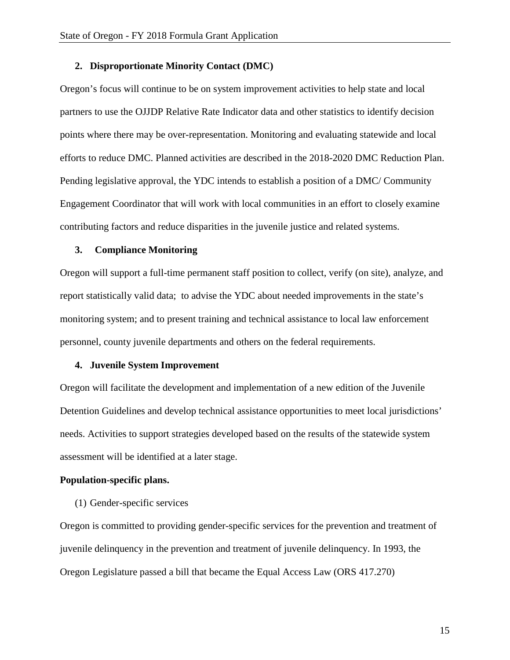#### **2. Disproportionate Minority Contact (DMC)**

Oregon's focus will continue to be on system improvement activities to help state and local partners to use the OJJDP Relative Rate Indicator data and other statistics to identify decision points where there may be over-representation. Monitoring and evaluating statewide and local efforts to reduce DMC. Planned activities are described in the 2018-2020 DMC Reduction Plan. Pending legislative approval, the YDC intends to establish a position of a DMC/ Community Engagement Coordinator that will work with local communities in an effort to closely examine contributing factors and reduce disparities in the juvenile justice and related systems.

#### **3. Compliance Monitoring**

Oregon will support a full-time permanent staff position to collect, verify (on site), analyze, and report statistically valid data; to advise the YDC about needed improvements in the state's monitoring system; and to present training and technical assistance to local law enforcement personnel, county juvenile departments and others on the federal requirements.

#### **4. Juvenile System Improvement**

Oregon will facilitate the development and implementation of a new edition of the Juvenile Detention Guidelines and develop technical assistance opportunities to meet local jurisdictions' needs. Activities to support strategies developed based on the results of the statewide system assessment will be identified at a later stage.

#### **Population-specific plans.**

(1) Gender-specific services

Oregon is committed to providing gender-specific services for the prevention and treatment of juvenile delinquency in the prevention and treatment of juvenile delinquency. In 1993, the Oregon Legislature passed a bill that became the Equal Access Law (ORS 417.270)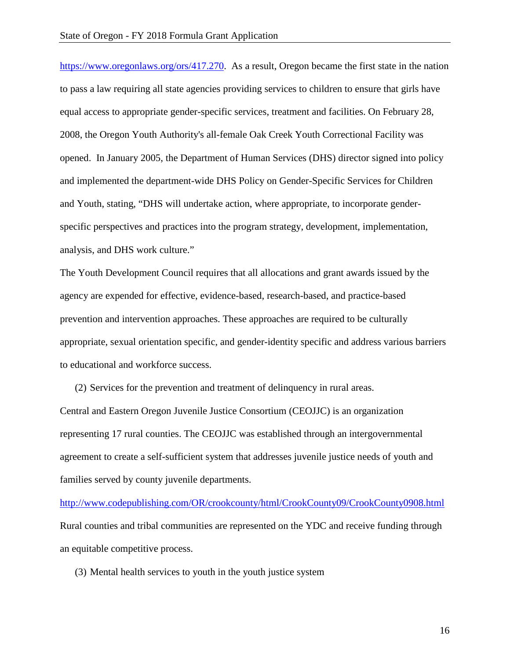[https://www.oregonlaws.org/ors/417.270.](https://www.oregonlaws.org/ors/417.270) As a result, Oregon became the first state in the nation to pass a law requiring all state agencies providing services to children to ensure that girls have equal access to appropriate gender-specific services, treatment and facilities. On February 28, 2008, the Oregon Youth Authority's all-female Oak Creek Youth Correctional Facility was opened. In January 2005, the Department of Human Services (DHS) director signed into policy and implemented the department-wide DHS Policy on Gender-Specific Services for Children and Youth, stating, "DHS will undertake action, where appropriate, to incorporate genderspecific perspectives and practices into the program strategy, development, implementation, analysis, and DHS work culture."

The Youth Development Council requires that all allocations and grant awards issued by the agency are expended for effective, evidence-based, research-based, and practice-based prevention and intervention approaches. These approaches are required to be culturally appropriate, sexual orientation specific, and gender-identity specific and address various barriers to educational and workforce success.

(2) Services for the prevention and treatment of delinquency in rural areas. Central and Eastern Oregon Juvenile Justice Consortium (CEOJJC) is an organization representing 17 rural counties. The CEOJJC was established through an intergovernmental agreement to create a self-sufficient system that addresses juvenile justice needs of youth and families served by county juvenile departments.

<http://www.codepublishing.com/OR/crookcounty/html/CrookCounty09/CrookCounty0908.html> Rural counties and tribal communities are represented on the YDC and receive funding through an equitable competitive process.

(3) Mental health services to youth in the youth justice system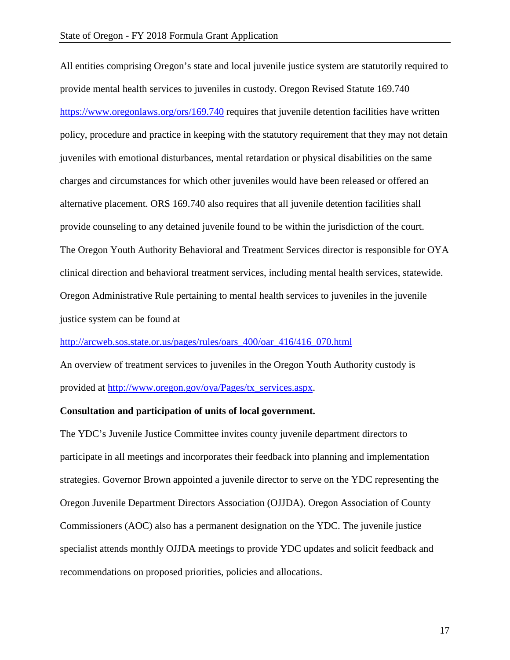All entities comprising Oregon's state and local juvenile justice system are statutorily required to provide mental health services to juveniles in custody. Oregon Revised Statute 169.740 <https://www.oregonlaws.org/ors/169.740> requires that juvenile detention facilities have written policy, procedure and practice in keeping with the statutory requirement that they may not detain juveniles with emotional disturbances, mental retardation or physical disabilities on the same charges and circumstances for which other juveniles would have been released or offered an alternative placement. ORS 169.740 also requires that all juvenile detention facilities shall provide counseling to any detained juvenile found to be within the jurisdiction of the court. The Oregon Youth Authority Behavioral and Treatment Services director is responsible for OYA clinical direction and behavioral treatment services, including mental health services, statewide. Oregon Administrative Rule pertaining to mental health services to juveniles in the juvenile justice system can be found at

[http://arcweb.sos.state.or.us/pages/rules/oars\\_400/oar\\_416/416\\_070.html](http://arcweb.sos.state.or.us/pages/rules/oars_400/oar_416/416_070.html)

An overview of treatment services to juveniles in the Oregon Youth Authority custody is provided at [http://www.oregon.gov/oya/Pages/tx\\_services.aspx.](http://www.oregon.gov/oya/Pages/tx_services.aspx)

# **Consultation and participation of units of local government.**

The YDC's Juvenile Justice Committee invites county juvenile department directors to participate in all meetings and incorporates their feedback into planning and implementation strategies. Governor Brown appointed a juvenile director to serve on the YDC representing the Oregon Juvenile Department Directors Association (OJJDA). Oregon Association of County Commissioners (AOC) also has a permanent designation on the YDC. The juvenile justice specialist attends monthly OJJDA meetings to provide YDC updates and solicit feedback and recommendations on proposed priorities, policies and allocations.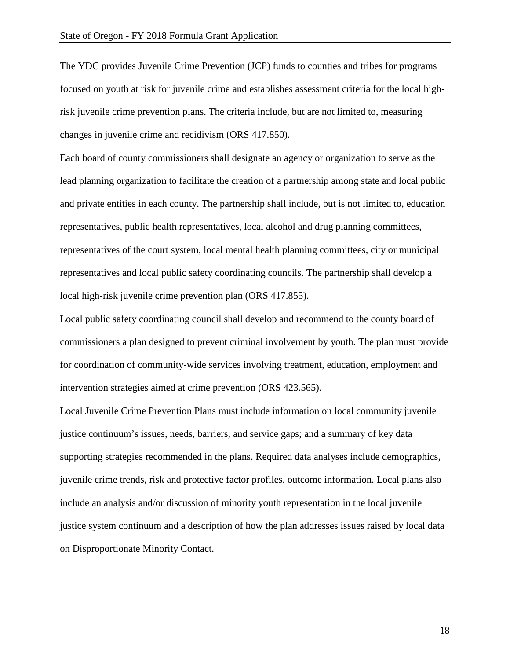The YDC provides Juvenile Crime Prevention (JCP) funds to counties and tribes for programs focused on youth at risk for juvenile crime and establishes assessment criteria for the local highrisk juvenile crime prevention plans. The criteria include, but are not limited to, measuring changes in juvenile crime and recidivism (ORS 417.850).

Each board of county commissioners shall designate an agency or organization to serve as the lead planning organization to facilitate the creation of a partnership among state and local public and private entities in each county. The partnership shall include, but is not limited to, education representatives, public health representatives, local alcohol and drug planning committees, representatives of the court system, local mental health planning committees, city or municipal representatives and local public safety coordinating councils. The partnership shall develop a local high-risk juvenile crime prevention plan (ORS 417.855).

Local public safety coordinating council shall develop and recommend to the county board of commissioners a plan designed to prevent criminal involvement by youth. The plan must provide for coordination of community-wide services involving treatment, education, employment and intervention strategies aimed at crime prevention (ORS 423.565).

Local Juvenile Crime Prevention Plans must include information on local community juvenile justice continuum's issues, needs, barriers, and service gaps; and a summary of key data supporting strategies recommended in the plans. Required data analyses include demographics, juvenile crime trends, risk and protective factor profiles, outcome information. Local plans also include an analysis and/or discussion of minority youth representation in the local juvenile justice system continuum and a description of how the plan addresses issues raised by local data on Disproportionate Minority Contact.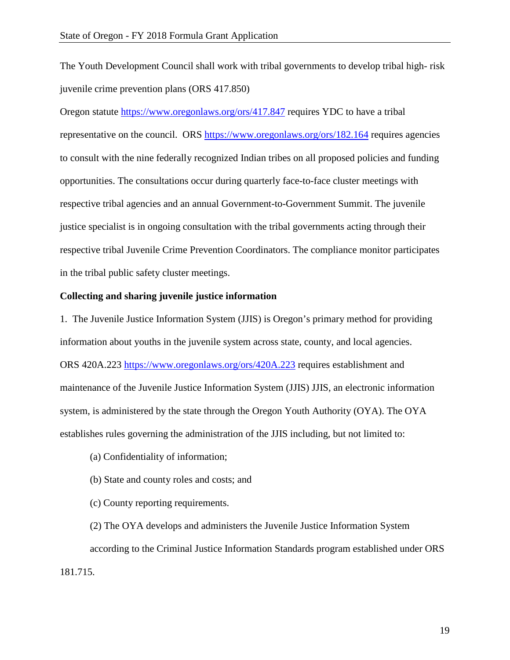The Youth Development Council shall work with tribal governments to develop tribal high- risk juvenile crime prevention plans (ORS 417.850)

Oregon statute<https://www.oregonlaws.org/ors/417.847> requires YDC to have a tribal representative on the council. ORS<https://www.oregonlaws.org/ors/182.164> requires agencies to consult with the nine federally recognized Indian tribes on all proposed policies and funding opportunities. The consultations occur during quarterly face-to-face cluster meetings with respective tribal agencies and an annual Government-to-Government Summit. The juvenile justice specialist is in ongoing consultation with the tribal governments acting through their respective tribal Juvenile Crime Prevention Coordinators. The compliance monitor participates in the tribal public safety cluster meetings.

# **Collecting and sharing juvenile justice information**

1. The Juvenile Justice Information System (JJIS) is Oregon's primary method for providing information about youths in the juvenile system across state, county, and local agencies. ORS 420A.223<https://www.oregonlaws.org/ors/420A.223> requires establishment and maintenance of the Juvenile Justice Information System (JJIS) JJIS, an electronic information system, is administered by the state through the Oregon Youth Authority (OYA). The OYA establishes rules governing the administration of the JJIS including, but not limited to:

- (a) Confidentiality of information;
- (b) State and county roles and costs; and

(c) County reporting requirements.

(2) The OYA develops and administers the Juvenile Justice Information System according to the Criminal Justice Information Standards program established under ORS 181.715.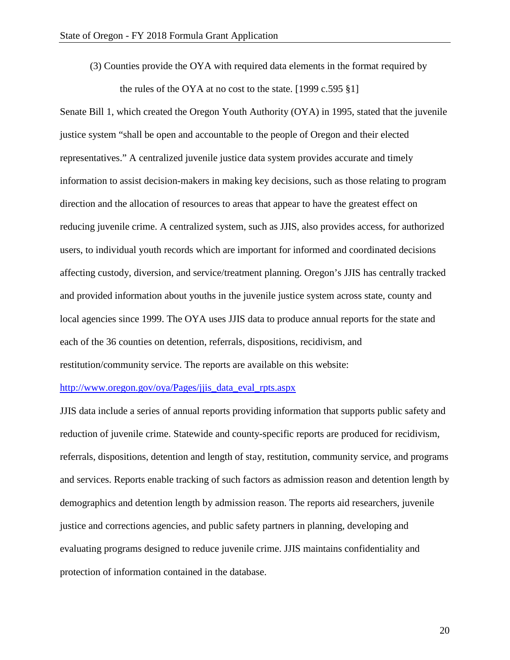(3) Counties provide the OYA with required data elements in the format required by

the rules of the OYA at no cost to the state. [1999 c.595 §1]

Senate Bill 1, which created the Oregon Youth Authority (OYA) in 1995, stated that the juvenile justice system "shall be open and accountable to the people of Oregon and their elected representatives." A centralized juvenile justice data system provides accurate and timely information to assist decision-makers in making key decisions, such as those relating to program direction and the allocation of resources to areas that appear to have the greatest effect on reducing juvenile crime. A centralized system, such as JJIS, also provides access, for authorized users, to individual youth records which are important for informed and coordinated decisions affecting custody, diversion, and service/treatment planning. Oregon's JJIS has centrally tracked and provided information about youths in the juvenile justice system across state, county and local agencies since 1999. The OYA uses JJIS data to produce annual reports for the state and each of the 36 counties on detention, referrals, dispositions, recidivism, and restitution/community service. The reports are available on this website:

#### [http://www.oregon.gov/oya/Pages/jjis\\_data\\_eval\\_rpts.aspx](http://www.oregon.gov/oya/Pages/jjis_data_eval_rpts.aspx)

JJIS data include a series of annual reports providing information that supports public safety and reduction of juvenile crime. Statewide and county-specific reports are produced for recidivism, referrals, dispositions, detention and length of stay, restitution, community service, and programs and services. Reports enable tracking of such factors as admission reason and detention length by demographics and detention length by admission reason. The reports aid researchers, juvenile justice and corrections agencies, and public safety partners in planning, developing and evaluating programs designed to reduce juvenile crime. JJIS maintains confidentiality and protection of information contained in the database.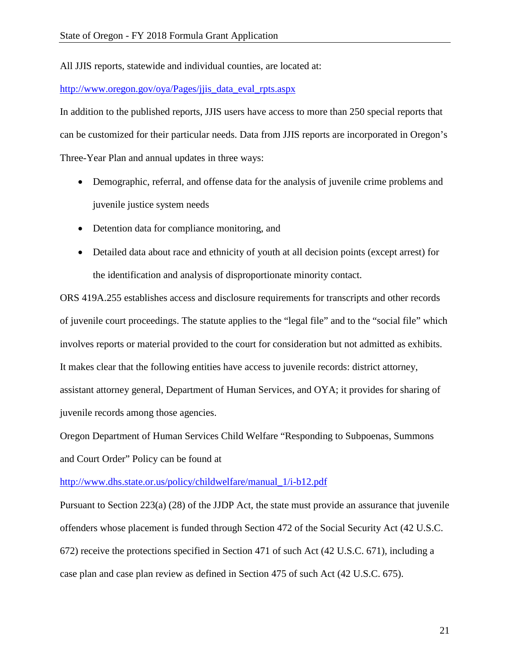All JJIS reports, statewide and individual counties, are located at:

# [http://www.oregon.gov/oya/Pages/jjis\\_data\\_eval\\_rpts.aspx](http://www.oregon.gov/oya/Pages/jjis_data_eval_rpts.aspx)

In addition to the published reports, JJIS users have access to more than 250 special reports that can be customized for their particular needs. Data from JJIS reports are incorporated in Oregon's Three-Year Plan and annual updates in three ways:

- Demographic, referral, and offense data for the analysis of juvenile crime problems and juvenile justice system needs
- Detention data for compliance monitoring, and
- Detailed data about race and ethnicity of youth at all decision points (except arrest) for the identification and analysis of disproportionate minority contact.

ORS 419A.255 establishes access and disclosure requirements for transcripts and other records of juvenile court proceedings. The statute applies to the "legal file" and to the "social file" which involves reports or material provided to the court for consideration but not admitted as exhibits. It makes clear that the following entities have access to juvenile records: district attorney, assistant attorney general, Department of Human Services, and OYA; it provides for sharing of juvenile records among those agencies.

Oregon Department of Human Services Child Welfare "Responding to Subpoenas, Summons and Court Order" Policy can be found at

[http://www.dhs.state.or.us/policy/childwelfare/manual\\_1/i-b12.pdf](http://www.dhs.state.or.us/policy/childwelfare/manual_1/i-b12.pdf)

Pursuant to Section 223(a) (28) of the JJDP Act, the state must provide an assurance that juvenile offenders whose placement is funded through Section 472 of the Social Security Act (42 U.S.C. 672) receive the protections specified in Section 471 of such Act (42 U.S.C. 671), including a case plan and case plan review as defined in Section 475 of such Act (42 U.S.C. 675).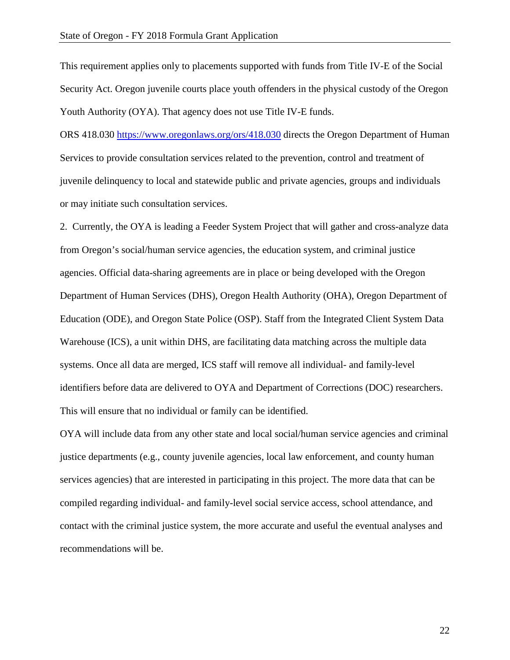This requirement applies only to placements supported with funds from Title IV-E of the Social Security Act. Oregon juvenile courts place youth offenders in the physical custody of the Oregon Youth Authority (OYA). That agency does not use Title IV-E funds.

ORS 418.030<https://www.oregonlaws.org/ors/418.030> directs the Oregon Department of Human Services to provide consultation services related to the prevention, control and treatment of juvenile delinquency to local and statewide public and private agencies, groups and individuals or may initiate such consultation services.

2.Currently, the OYA is leading a Feeder System Project that will gather and cross-analyze data from Oregon's social/human service agencies, the education system, and criminal justice agencies. Official data-sharing agreements are in place or being developed with the Oregon Department of Human Services (DHS), Oregon Health Authority (OHA), Oregon Department of Education (ODE), and Oregon State Police (OSP). Staff from the Integrated Client System Data Warehouse (ICS), a unit within DHS, are facilitating data matching across the multiple data systems. Once all data are merged, ICS staff will remove all individual- and family-level identifiers before data are delivered to OYA and Department of Corrections (DOC) researchers. This will ensure that no individual or family can be identified.

OYA will include data from any other state and local social/human service agencies and criminal justice departments (e.g., county juvenile agencies, local law enforcement, and county human services agencies) that are interested in participating in this project. The more data that can be compiled regarding individual- and family-level social service access, school attendance, and contact with the criminal justice system, the more accurate and useful the eventual analyses and recommendations will be.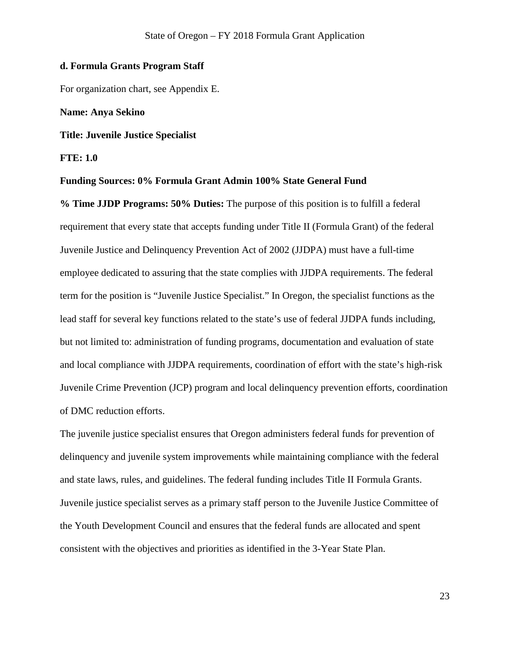#### **d. Formula Grants Program Staff**

For organization chart, see Appendix E.

#### **Name: Anya Sekino**

**Title: Juvenile Justice Specialist** 

# **FTE: 1.0**

# **Funding Sources: 0% Formula Grant Admin 100% State General Fund**

**% Time JJDP Programs: 50% Duties:** The purpose of this position is to fulfill a federal requirement that every state that accepts funding under Title II (Formula Grant) of the federal Juvenile Justice and Delinquency Prevention Act of 2002 (JJDPA) must have a full-time employee dedicated to assuring that the state complies with JJDPA requirements. The federal term for the position is "Juvenile Justice Specialist." In Oregon, the specialist functions as the lead staff for several key functions related to the state's use of federal JJDPA funds including, but not limited to: administration of funding programs, documentation and evaluation of state and local compliance with JJDPA requirements, coordination of effort with the state's high-risk Juvenile Crime Prevention (JCP) program and local delinquency prevention efforts, coordination of DMC reduction efforts.

The juvenile justice specialist ensures that Oregon administers federal funds for prevention of delinquency and juvenile system improvements while maintaining compliance with the federal and state laws, rules, and guidelines. The federal funding includes Title II Formula Grants. Juvenile justice specialist serves as a primary staff person to the Juvenile Justice Committee of the Youth Development Council and ensures that the federal funds are allocated and spent consistent with the objectives and priorities as identified in the 3-Year State Plan.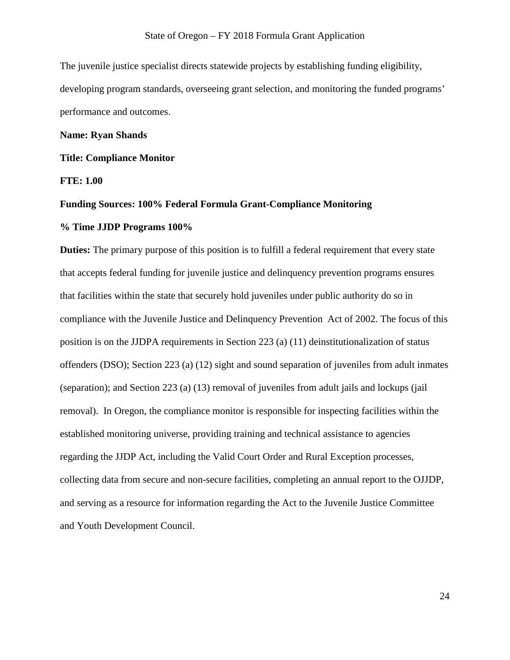The juvenile justice specialist directs statewide projects by establishing funding eligibility, developing program standards, overseeing grant selection, and monitoring the funded programs' performance and outcomes.

#### **Name: Ryan Shands**

# **Title: Compliance Monitor**

**FTE: 1.00** 

# **Funding Sources: 100% Federal Formula Grant-Compliance Monitoring**

#### **% Time JJDP Programs 100%**

**Duties:** The primary purpose of this position is to fulfill a federal requirement that every state that accepts federal funding for juvenile justice and delinquency prevention programs ensures that facilities within the state that securely hold juveniles under public authority do so in compliance with the Juvenile Justice and Delinquency Prevention Act of 2002. The focus of this position is on the JJDPA requirements in Section 223 (a) (11) deinstitutionalization of status offenders (DSO); Section 223 (a) (12) sight and sound separation of juveniles from adult inmates (separation); and Section 223 (a) (13) removal of juveniles from adult jails and lockups (jail removal). In Oregon, the compliance monitor is responsible for inspecting facilities within the established monitoring universe, providing training and technical assistance to agencies regarding the JJDP Act, including the Valid Court Order and Rural Exception processes, collecting data from secure and non-secure facilities, completing an annual report to the OJJDP, and serving as a resource for information regarding the Act to the Juvenile Justice Committee and Youth Development Council.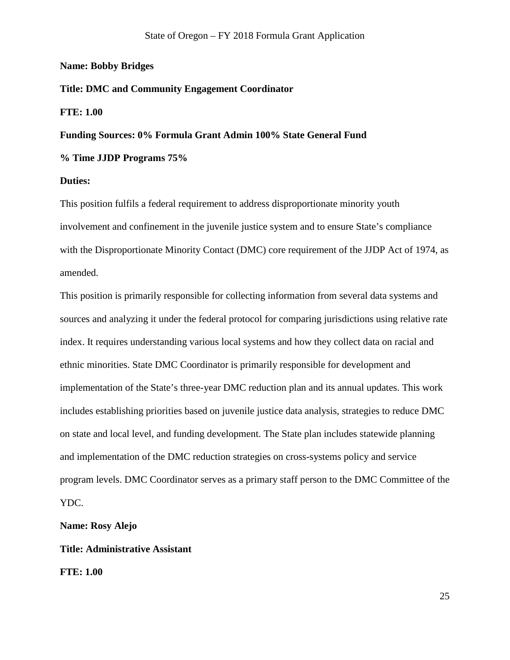# **Name: Bobby Bridges**

# **Title: DMC and Community Engagement Coordinator**

# **FTE: 1.00**

# **Funding Sources: 0% Formula Grant Admin 100% State General Fund**

# **% Time JJDP Programs 75%**

#### **Duties:**

This position fulfils a federal requirement to address disproportionate minority youth involvement and confinement in the juvenile justice system and to ensure State's compliance with the Disproportionate Minority Contact (DMC) core requirement of the JJDP Act of 1974, as amended.

This position is primarily responsible for collecting information from several data systems and sources and analyzing it under the federal protocol for comparing jurisdictions using relative rate index. It requires understanding various local systems and how they collect data on racial and ethnic minorities. State DMC Coordinator is primarily responsible for development and implementation of the State's three-year DMC reduction plan and its annual updates. This work includes establishing priorities based on juvenile justice data analysis, strategies to reduce DMC on state and local level, and funding development. The State plan includes statewide planning and implementation of the DMC reduction strategies on cross-systems policy and service program levels. DMC Coordinator serves as a primary staff person to the DMC Committee of the YDC.

**Name: Rosy Alejo**

#### **Title: Administrative Assistant**

**FTE: 1.00**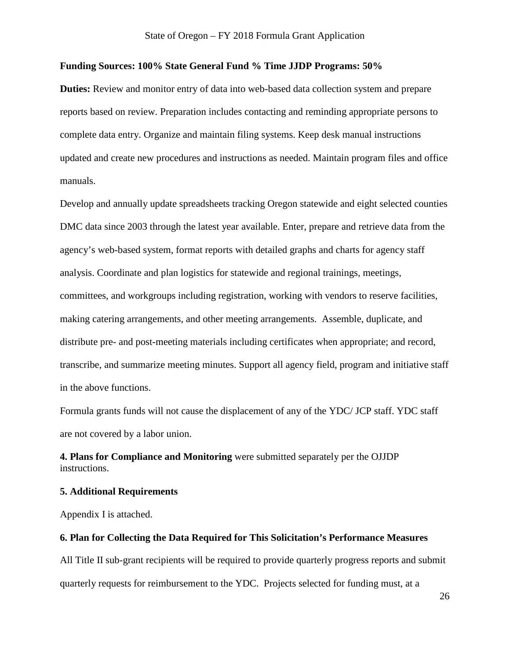# **Funding Sources: 100% State General Fund % Time JJDP Programs: 50%**

**Duties:** Review and monitor entry of data into web-based data collection system and prepare reports based on review. Preparation includes contacting and reminding appropriate persons to complete data entry. Organize and maintain filing systems. Keep desk manual instructions updated and create new procedures and instructions as needed. Maintain program files and office manuals.

Develop and annually update spreadsheets tracking Oregon statewide and eight selected counties DMC data since 2003 through the latest year available. Enter, prepare and retrieve data from the agency's web-based system, format reports with detailed graphs and charts for agency staff analysis. Coordinate and plan logistics for statewide and regional trainings, meetings, committees, and workgroups including registration, working with vendors to reserve facilities, making catering arrangements, and other meeting arrangements. Assemble, duplicate, and distribute pre- and post-meeting materials including certificates when appropriate; and record, transcribe, and summarize meeting minutes. Support all agency field, program and initiative staff in the above functions.

Formula grants funds will not cause the displacement of any of the YDC/ JCP staff. YDC staff are not covered by a labor union.

**4. Plans for Compliance and Monitoring** were submitted separately per the OJJDP instructions.

# **5. Additional Requirements**

Appendix I is attached.

#### **6. Plan for Collecting the Data Required for This Solicitation's Performance Measures**

All Title II sub-grant recipients will be required to provide quarterly progress reports and submit quarterly requests for reimbursement to the YDC. Projects selected for funding must, at a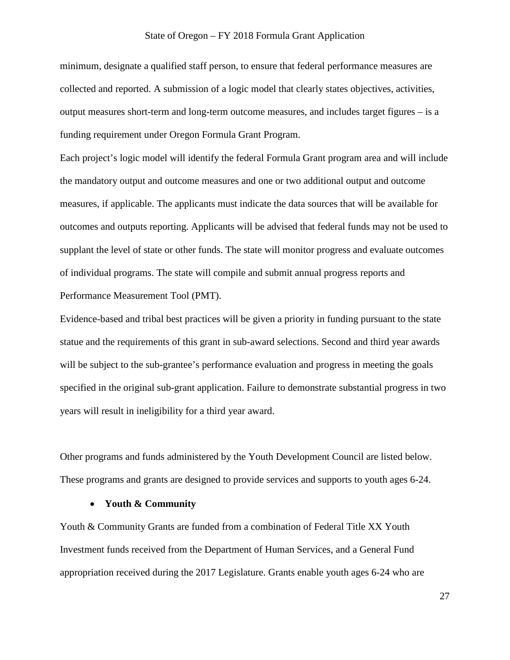# State of Oregon – FY 2018 Formula Grant Application

minimum, designate a qualified staff person, to ensure that federal performance measures are collected and reported. A submission of a logic model that clearly states objectives, activities, output measures short-term and long-term outcome measures, and includes target figures – is a funding requirement under Oregon Formula Grant Program.

Each project's logic model will identify the federal Formula Grant program area and will include the mandatory output and outcome measures and one or two additional output and outcome measures, if applicable. The applicants must indicate the data sources that will be available for outcomes and outputs reporting. Applicants will be advised that federal funds may not be used to supplant the level of state or other funds. The state will monitor progress and evaluate outcomes of individual programs. The state will compile and submit annual progress reports and Performance Measurement Tool (PMT).

Evidence-based and tribal best practices will be given a priority in funding pursuant to the state statue and the requirements of this grant in sub-award selections. Second and third year awards will be subject to the sub-grantee's performance evaluation and progress in meeting the goals specified in the original sub-grant application. Failure to demonstrate substantial progress in two years will result in ineligibility for a third year award.

Other programs and funds administered by the Youth Development Council are listed below. These programs and grants are designed to provide services and supports to youth ages 6-24.

# • **Youth & Community**

Youth & Community Grants are funded from a combination of Federal Title XX Youth Investment funds received from the Department of Human Services, and a General Fund appropriation received during the 2017 Legislature. Grants enable youth ages 6-24 who are